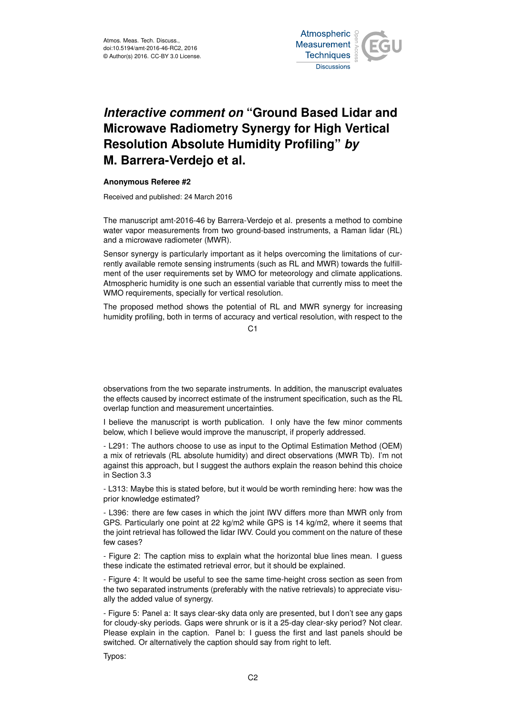

## *Interactive comment on* **"Ground Based Lidar and Microwave Radiometry Synergy for High Vertical Resolution Absolute Humidity Profiling"** *by* **M. Barrera-Verdejo et al.**

## **Anonymous Referee #2**

Received and published: 24 March 2016

The manuscript amt-2016-46 by Barrera-Verdejo et al. presents a method to combine water vapor measurements from two ground-based instruments, a Raman lidar (RL) and a microwave radiometer (MWR).

Sensor synergy is particularly important as it helps overcoming the limitations of currently available remote sensing instruments (such as RL and MWR) towards the fulfillment of the user requirements set by WMO for meteorology and climate applications. Atmospheric humidity is one such an essential variable that currently miss to meet the WMO requirements, specially for vertical resolution.

The proposed method shows the potential of RL and MWR synergy for increasing humidity profiling, both in terms of accuracy and vertical resolution, with respect to the

 $C<sub>1</sub>$ 

observations from the two separate instruments. In addition, the manuscript evaluates the effects caused by incorrect estimate of the instrument specification, such as the RL overlap function and measurement uncertainties.

I believe the manuscript is worth publication. I only have the few minor comments below, which I believe would improve the manuscript, if properly addressed.

- L291: The authors choose to use as input to the Optimal Estimation Method (OEM) a mix of retrievals (RL absolute humidity) and direct observations (MWR Tb). I'm not against this approach, but I suggest the authors explain the reason behind this choice in Section 3.3

- L313: Maybe this is stated before, but it would be worth reminding here: how was the prior knowledge estimated?

- L396: there are few cases in which the joint IWV differs more than MWR only from GPS. Particularly one point at 22 kg/m2 while GPS is 14 kg/m2, where it seems that the joint retrieval has followed the lidar IWV. Could you comment on the nature of these few cases?

- Figure 2: The caption miss to explain what the horizontal blue lines mean. I guess these indicate the estimated retrieval error, but it should be explained.

- Figure 4: It would be useful to see the same time-height cross section as seen from the two separated instruments (preferably with the native retrievals) to appreciate visually the added value of synergy.

- Figure 5: Panel a: It says clear-sky data only are presented, but I don't see any gaps for cloudy-sky periods. Gaps were shrunk or is it a 25-day clear-sky period? Not clear. Please explain in the caption. Panel b: I guess the first and last panels should be switched. Or alternatively the caption should say from right to left.

Typos: